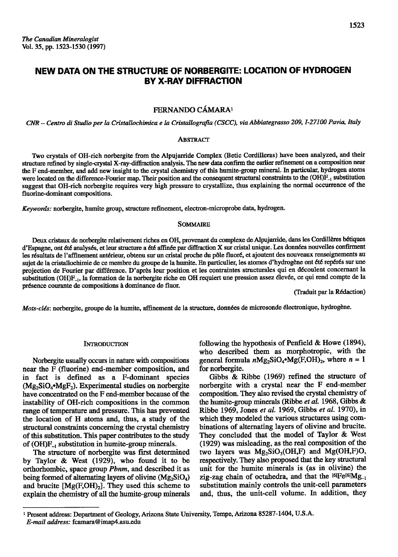# NEW DATA ON THE STRUCTURE OF NORBERGITE: LOCATION OF HYDROGEN **BY X-RAY DIFFRACTION**

# FERNANDO CÁMARA<sup>1</sup>

CNR - Centro di Studio per la Cristallochimica e la Cristallografia (CSCC), via Abbiategrasso 209, I-27100 Pavia, Italy

# **ABSTRACT**

Two crystals of OH-rich norbergite from the Alpujarride Complex (Betic Cordilleras) have been analyzed, and their structure refined by single-crystal X-ray-diffraction analysis. The new data confirm the earlier refinement on a composition near the F end-member, and add new insight to the crystal chemistry of this humite-group mineral. In particular, hydrogen atoms were located on the difference-Fourier map. Their position and the consequent structural constraints to the (OH)F<sub>-1</sub> substitution suggest that OH-rich norbergite requires very high pressure to crystallize, thus explaining the normal occurrence of the fluorine-dominant compositions.

Keywords: norbergite, humite group, structure refinement, electron-microprobe data, hydrogen.

## **SOMMAIRE**

Deux cristaux de norbergite relativement riches en OH, provenant du complexe de Alpujarride, dans les Cordillères bétiques d'Espagne, ont été analysés, et leur structure a été affinée par diffraction X sur cristal unique. Les données nouvelles confirment les résultats de l'affinement antérieur, obtenu sur un cristal proche du pôle fluoré, et ajoutent des nouveaux renseignements au sujet de la cristallochimie de ce membre du groupe de la humite. En particulier, les atomes d'hydrogène ont été repérés sur une projection de Fourier par différence. D'après leur position et les contraintes structurales qui en découlent concernant la substitution (OH)F<sub>-1</sub>, la formation de la norbergite riche en OH requiert une pression assez élevée, ce qui rend compte de la présence courante de compositions à dominance de fluor.

(Traduit par la Rédaction)

Mots-clés: norbergite, groupe de la humite, affinement de la structure, données de microsonde électronique, hydrogène.

#### **INTRODUCTION**

Norbergite usually occurs in nature with compositions near the F (fluorine) end-member composition, and in fact is defined as a F-dominant species (Mg<sub>2</sub>SiO<sub>4</sub>•MgF<sub>2</sub>). Experimental studies on norbergite have concentrated on the F end-member because of the instability of OH-rich compositions in the common range of temperature and pressure. This has prevented the location of H atoms and, thus, a study of the structural constraints concerning the crystal chemistry of this substitution. This paper contributes to the study of  $(OH)F_{-1}$  substitution in humite-group minerals.

The structure of norbergite was first determined by Taylor & West (1929), who found it to be orthorhombic, space group *Pbnm*, and described it as being formed of alternating layers of olivine  $(Mg_2SiO_4)$ and brucite  $[Mg(F,OH)_2]$ . They used this scheme to explain the chemistry of all the humite-group minerals

following the hypothesis of Penfield & Howe  $(1894)$ , who described them as morphotropic, with the general formula  $nMg_2SiO_4 \cdot Mg(F,OH)_2$ , where  $n = 1$ for norbergite.

Gibbs & Ribbe (1969) refined the structure of norbergite with a crystal near the F end-member composition. They also revised the crystal chemistry of the humite-group minerals (Ribbe et al. 1968, Gibbs & Ribbe 1969, Jones et al. 1969, Gibbs et al. 1970), in which they modeled the various structures using combinations of alternating layers of olivine and brucite. They concluded that the model of Taylor & West (1929) was misleading, as the real composition of the two layers was  $Mg_2SiO_3(OH,F)$  and  $Mg(OH,F)O$ , respectively. They also proposed that the key structural unit for the humite minerals is (as in olivine) the zig-zag chain of octahedra, and that the  $^{[6]}Fe^{[6]}Mg_{-1}$ substitution mainly controls the unit-cell parameters and, thus, the unit-cell volume. In addition, they

<sup>&</sup>lt;sup>1</sup> Present address: Department of Geology, Arizona State University, Tempe, Arizona 85287-1404, U.S.A. E-mail address: fcamara@imap4.asu.edu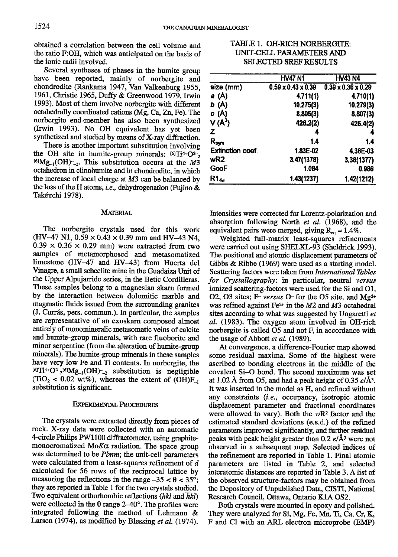obtained a correlation between the cell volume and the ratio F:OH, which was anticipated on the basis of the ionic radii involved.

Several syntheses of phases in the humite group have been reported, mainly of norbergite and chondrodite (Rankama 1947, Van Valkenburg 1955, 1961, Christie 1965, Duffy & Greenwood 1979, Irwin 1993). Most of them involve norbergite with different octahedrally coordinated cations (Mg, Ca, Zn, Fe). The norbergite end-member has also been synthesized (Irwin 1993). No OH equivalent has yet been synthetized and studied by means of X-ray diffraction.

There is another important substitution involving the OH site in humite-group minerals:  $[6]Ti^{4+}O^{2-}$ ,  $^{[6]}Mg_{-1}(OH)_{-2}$ . This substitution occurs at the M3 octahedron in clinohumite and in chondrodite, in which the increase of local charge at M3 can be balanced by the loss of the H atoms, *i.e.*, dehydrogenation (Fujino  $\&$ Tak6uchi 1978).

## MATERIAL

The norbergite crystals used for this work  $(HV-47 N1, 0.59 \times 0.43 \times 0.39$  mm and HV-43 N4,  $0.39 \times 0.36 \times 0.29$  mm) were extracted from two samples of metamorphosed and metasomatized limestone (HV-47 and HV-43) from Huerta del Vinagre, a small scheelite mine in the Guadaiza Unit of the Upper Alpujarride series, in the Betic Cordilleras. These samples belong to a magnesian skarn formed by the interaction between dolomitic marble and magmatic fluids issued from the surrounding granites (J. Currds, pers. cornmun.). In particular, the samples are representative of an exoskarn composed almost entirely of monomineralic metasomatic veins of calcite and humite-group minerals, with rare fluoborite and minor serpentine (from the alteration of humite-group minerals). The humite-group minerals in these samples have very low Fe and Ti contents. In norbergite, the  $t$ <sup>6]</sup>Ti<sup>4+</sup>O<sup>2</sup>-<sub>2</sub><sup>t61</sup>Mg<sub>-1</sub>(OH)<sup>-</sup><sub>-2</sub> substitution is negligible  $(TiO<sub>2</sub> < 0.02 \text{ wt\%})$ , whereas the extent of  $(OH)F<sub>-1</sub>$ substitution is significant.

#### EXPERIMENTAL PROCEDURES

The crystals were extracted directly from pieces of rock. X-ray data were collected witl an automatic 4-circle Philips PW1100 diftactometer, using graphitemonocromatized  $M \circ K \alpha$  radiation. The space group was determined to be Pbnm; the unit-cell parameters were calculated from a least-squares refinement of d calculated for 56 rows of the reciprocal lattice by measuring the reflections in the range  $-35 < \theta < 35^{\circ}$ ; they are reported in Table 1 for the two crystals studied. Two equivalent orthorhombic reflections (hkl and hkl) were collected in the  $\theta$  range 2-40°. The profiles were integrated following the method of Lehmann & Larsen (1974), as modified by Blessing et al. (1974).

| TABLE 1. OH-RICH NORBERGITE: |
|------------------------------|
| UNIT-CELL PARAMETERS AND     |
| <b>SELECTED SREF RESULTS</b> |

|                             | <b>HV47 N1</b>                 | <b>HV43 N4</b>                 |
|-----------------------------|--------------------------------|--------------------------------|
| size (mm)                   | $0.59 \times 0.43 \times 0.39$ | $0.39 \times 0.36 \times 0.29$ |
| a (A)                       | 4.711(1)                       | 4.710(1)                       |
| b (A)                       | 10.275(3)                      | 10.279(3)                      |
| c(A)                        | 8.805(3)                       | 8.807(3)                       |
| $V(A^3)$                    | 426.2(2)                       | 426.4(2)                       |
| Z.                          | 4                              | 4                              |
| $\mathsf{R}_{\mathsf{sym}}$ | 1.4                            | 1.4                            |
| <b>Extinction coef.</b>     | 1.83E-02                       | 4.36E-03                       |
| wR <sub>2</sub>             | 3.47(1378)                     | 3.38(1377)                     |
| GooF                        | 1.084                          | 0.986                          |
| $R1_{4\sigma}$              | 1.43(1237)                     | 1.42(1212)                     |

Intensities were corrected for Lorentz-polarization and absorption following North et al. (1968), and the equivalent pairs were merged, giving  $R_{eq} = 1.4\%$ .

Weighted full-matrix least-squares refinements were carried out using SHELXL-93 (Sheldrick 1993). The positional and atomic displacement parameters of Gibbs & Ribbe (1969) were used as a starting model. Scattering factors were taken from International Tables for Crystallography: in particular, neutral versus ionized scattering-factors were used for the Si and 01, 02, 03 sites; F- versus  $O$ - for the 05 site, and Mg<sup>2+</sup> was refined against Fe<sup>2+</sup> in the  $M2$  and  $M3$  octahedral sites according to what was suggested by Ungaretti et al. (1983). The oxygen atom involved in OH-rich norbergite is called 05 and not R in accordance with the usage of Abbott *et al.* (1989).

At convergence, a difference-Fourier map showed some residual maxima. Some of the highest were ascribed to bonding electrons in the middle of the covalent Si-O bond. The second maximum was set at 1.02 Å from O5, and had a peak height of 0.35  $e/\text{\AA}^3$ . It was inserted in the model as H, and refined witlout any constraints *(i.e., occupancy, isotropic atomic* displacement parameter and fractional coordinates were allowed to vary). Both the  $wR<sup>2</sup>$  factor and the estimated standard deviations (e.s.d.) of the refined parameters improved significantly, and further residual peaks with peak height greater than  $0.2 e/\text{\AA}^3$  were not observed in a subsequent map. Selected indices of the refinement are reported in Table 1. Final atomic parameters are listed in Table 2, and selected interatomic distances are reported in Table 3. A list of the observed structure-factors may be obtained from the Depository of Unpublished Data, CISTI, National Research Council, Ottawa, Ontario K1A OS2.

Both crystals were mounted in epoxy and polished. They were analyzed for Si, Mg, Fe, Mn, Ti, Ca, Cr, K, F and Cl with an ARL electron microprobe (EMP)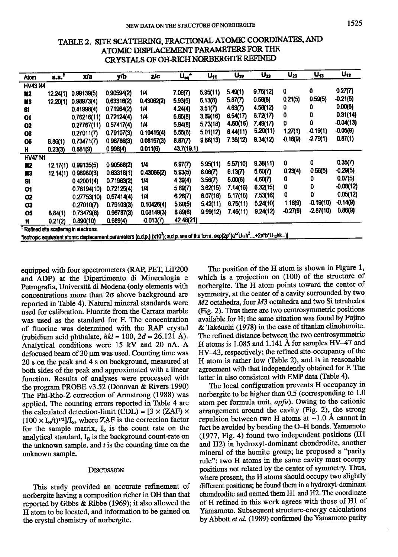| Atom                                                                                                                                                                            | S.S. <sup>T</sup> | x/a         | y/b        | zic         | $\mathbf{u}_{\mathbf{eq}}$ . | U <sub>11</sub> | $\mathsf{U}_{22}$ | $U_{33}$ | $U_{23}$   | $U_{13}$    | $U_{12}$    |
|---------------------------------------------------------------------------------------------------------------------------------------------------------------------------------|-------------------|-------------|------------|-------------|------------------------------|-----------------|-------------------|----------|------------|-------------|-------------|
| <b>HV43 N4</b>                                                                                                                                                                  |                   |             |            |             |                              |                 |                   |          |            |             |             |
| M2                                                                                                                                                                              | 12.24(1)          | 0.99139(5)  | 0.90594(2) | 1/4         | 7.06(7)                      | 5.95(11)        | 5.49(1)           | 9.75(12) | 0          | 0           | 0.27(7)     |
| M3                                                                                                                                                                              | 12.20(1)          | 0.98973(4)  | 0.63316(2) | 0.43062(2)  | 5.93(5)                      | 6.13(8)         | 5.87(7)           | 0.58(8)  | 0.21(5)    | 0.59(5)     | -0.21(5)    |
| Si                                                                                                                                                                              |                   | 0.41998(4)  | 0.71964(2) | 1/4         | 4.24(4)                      | 3.51(7)         | 4.63(7)           | 4.58(12) | 0          | 0           | 0.00(5)     |
| 01                                                                                                                                                                              |                   | 0.76216(11) | 0.72124(4) | 1/4         | 5.65(8)                      | 3.69(16)        | 6.54(17)          | 6.72(17) | 0          | 0           | 0.31(14)    |
| 02                                                                                                                                                                              |                   | 0.27767(11) | 0.57417(4) | 1/4         | 5.94(8)                      | 5.73(18)        | 4.60(16)          | 7.49(17) | 0          | 0           | $-0.04(13)$ |
| 03                                                                                                                                                                              |                   | 0.27011(7)  | 0.79107(3) | 0.10415(4)  | 5.55(6)                      | 5.01(12)        | 6.44(11)          | 5.20(11) | 1.27(1)    | $-0.19(1)$  | $-0.05(9)$  |
| 05                                                                                                                                                                              | 8.86(1)           | 0.73471(7)  | 0.96786(3) | 0.08157(3)  | 8.87(7)                      | 9.88(13)        | 7.38(12)          | 9.34(12) | $-0.16(9)$ | $-2.79(1)$  | 0.87(1)     |
| H                                                                                                                                                                               | 0.23(3)           | 0.881(9)    | 0.996(4)   | 0.011(6)    | 43.7(19.1)                   |                 |                   |          |            |             |             |
| <b>HV47 N1</b>                                                                                                                                                                  |                   |             |            |             |                              |                 |                   |          |            |             |             |
| M <sub>2</sub>                                                                                                                                                                  | 12.17(1)          | 0.99135(5)  | 0.90588(2) | 1/4         | 6.97(7)                      | 5.95(11)        | 5.57(10)          | 9.38(11) | 0          | 0           | 0.35(7)     |
| M3                                                                                                                                                                              | 12.14(1)          | 0.98980(3)  | 0.63318(1) | 0.43066(2)  | 5.93(5)                      | 6.06(7)         | 6.13(7)           | 5.60(7)  | 0.23(4)    | 0.56(5)     | $-0.29(5)$  |
| Si                                                                                                                                                                              |                   | 0.42001(4)  | 0.71963(2) | 1/4         | 4.39(4)                      | 3.56(7)         | 5.00(6)           | 4.60(7)  | 0          | 0           | 0.07(5)     |
| O1                                                                                                                                                                              |                   | 0.76194(10) | 0.72125(4) | 1/4         | 5.69(7)                      | 3.62(15)        | 7.14(16)          | 6.32(15) | 0          | 0           | $-0.08(12)$ |
| 02                                                                                                                                                                              |                   | 0.27753(10) | 0.57414(4) | 1/4         | 6.26(7)                      | 6.07(16)        | 5.17(15)          | 7.53(16) | 0          | 0           | 0.05(12)    |
| 03                                                                                                                                                                              |                   | 0.27010(7)  | 0.79103(3) | 0.10426(4)  | 5.80(5)                      | 5.42(11)        | 6.75(11)          | 5.24(10) | 1.16(9)    | $-0.19(10)$ | $-0.14(9)$  |
| O5                                                                                                                                                                              | 8.84(1)           | 0.73479(6)  | 0.96787(3) | 0.08149(3)  | 8.89(6)                      | 9.99(12)        | 7.45(11)          | 9.24(12) | $-0.27(9)$ | $-2.87(10)$ | 0.86(9)     |
| H                                                                                                                                                                               | 0.21(2)           | 0.890(10)   | 0.989(4)   | $-0.013(7)$ | 42.48(21)                    |                 |                   |          |            |             |             |
| Refined site scattering in electrons.                                                                                                                                           |                   |             |            |             |                              |                 |                   |          |            |             |             |
| "isotropic equivalent atomic displacement parameters (a.d.p.) (x10"); a.d.p. are of the form: exp(2p <sup>2</sup> (a*2U <sub>11</sub> h <sup>2</sup> +2a*b*U <sub>12</sub> hk)] |                   |             |            |             |                              |                 |                   |          |            |             |             |

# TABLE 2. SITE SCATTERING, FRACTIONAL ATOMIC COORDINATES, AND ATOMIC DISPLACEMENT PARAMETERS FOR THE CRYSTALS OF OH.RICH NORBERGITE REFINED

equipped with four spectrometers (RAP, PET, LiF200 and ADP) at the Dipartimento di Mineralogia e Petrografia, Università di Modena (only elements with concentrations more than 20 above background are reported in Table 4). Nafural mineral standards were used for calibration. Fluorite from the Carrara marble was used as the standard for F. The concentration of fluorine was determined with the RAP crystal (rubidium acid phthalate,  $hkl = 100$ ,  $2d = 26.121$  Å). Analytical conditions were 15 kV and 20 nA. A defocused beam of 30 Um was used. Counting time was 20 s on the peak and 4 s on background, measured at both sides of the peak and approximated with a linear function. Results of analyses were processed with the program PROBE v3.52 (Donovan & Rivers 1990) The Phi-Rho-Z correction of Armstrong (1988) was applied. The counting errors reported in Table 4 are the calculated detection-limit (CDL) =  $[3 \times (ZAF) \times$  $(100 \times I_B/t)^{1/2}$   $/I_S$ , where ZAF is the correction factor for the sample matrix,  $I_s$  is the count rate on the analytical standard,  $I_B$  is the background count-rate on the unknown sample, and  $t$  is the counting time on the unknown sample.

## DISCUSSION

This study provided an accurate refinement of norbergite having a composition richer in OH than that reported by Gibbs & Ribbe (1969); it also allowed the H atom to be located, and information to be gained on the crystal chemistry of norbergite.

The position of the H atom is shown in Figure 1, which is a projection on  $(100)$  of the structure of norbergite. The H atom points toward the center of symmetry, at the center of a cavity surrounded by two  $M2$  octahedra, four  $M3$  octahedra and two Si tetrahedra (Fig. 2).Thus there are two centrosymmefric positions available for H; the sarne situation was found by Fujino & Tak6uchi (1978) in the case of titanian clinohumite. The refined distance between the two centosymmetric H atoms is 1.085 and 1.141 A for samples HV-47 and HV-43, respectively; the refined site-occupancy of the H atom is rather low (Table 2), and is in reasonable agreement with that independently obtained for F. The latter in also consistent with EMP data (Table 4).

The local configuration prevents H occupancy in norbergite to be higher than 0.5 (corresponding to 1.0 atom per formula unit, apfu). Owing to the cationic arrangement around the cavity (Fig. 2), the strong repulsion between two H atoms at  $\sim$ 1.0 Å cannot in fact be avoided by bending the G-H bonds. Yamamoto (1977 , Fig.4) found two independent positions (Hl and  $H2$ ) in hydroxyl-dominant chondrodite, another mineral of the humite group; he proposed a "parity rule": two H atoms in the same cavity must occupy positions not related by the center of symmetry. Thus, where present, the H atoms should occupy two slightly different positions; he found them in a hydroxyl-dominant chondrodite and named them Hl and II2. The coordinate of H refined in this work agrees with those of Hl of Yamamoto. Subsequent structure-energy calculations by Abbott et al. (1989) confirmed the Yamamoto parity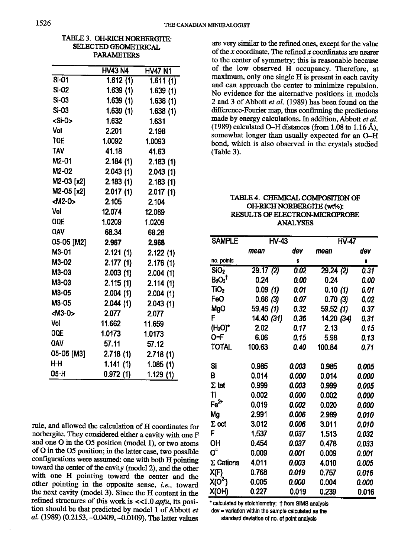| SELECTED GEOMETRICAL       |                |                       |  |  |  |  |
|----------------------------|----------------|-----------------------|--|--|--|--|
| <b>PARAMETERS</b>          |                |                       |  |  |  |  |
|                            | <b>HV43 N4</b> | <b>HV47 N1</b>        |  |  |  |  |
| $\overline{\text{Si}}$ -01 | 1.612(1)       | $\overline{1.611(1)}$ |  |  |  |  |
| <b>Si-02</b>               | 1.639(1)       | 1.639(1)              |  |  |  |  |
| Si-03                      | 1.639(1)       | 1.638(1)              |  |  |  |  |
| <b>Si-03</b>               | 1.639(1)       | 1.638(1)              |  |  |  |  |
| <si-o></si-o>              | 1.632          | 1.631                 |  |  |  |  |
| Vol                        | 2.201          | 2.198                 |  |  |  |  |
| TQE                        | 1.0092         | 1.0093                |  |  |  |  |
| <b>TAV</b>                 | 41.18          | 41.63                 |  |  |  |  |
| M2-01                      | 2.184(1)       | 2.183(1)              |  |  |  |  |
| M2-02                      | 2.043(1)       | 2.043(1)              |  |  |  |  |
| M2-03 [x2]                 | 2.183(1)       | 2.183(1)              |  |  |  |  |
| M2-05 [x2]                 | 2.017(1)       | 2.017(1)              |  |  |  |  |
| <m2-0></m2-0>              | 2.105          | 2.104                 |  |  |  |  |
| Vol                        | 12.074         | 12.069                |  |  |  |  |
| OQE                        | 1.0209         | 1.0209                |  |  |  |  |
| <b>OAV</b>                 | 68.34          | 68.28                 |  |  |  |  |
| 05-05 [M2]                 | 2.967          | 2.968                 |  |  |  |  |
| M3-01                      | 2.121(1)       | 2.122(1)              |  |  |  |  |
| M3-02                      | 2.177(1)       | 2.176(1)              |  |  |  |  |
| M3-03                      | 2.003(1)       | 2.004(1)              |  |  |  |  |
| M3-03                      | 2.115(1)       | 2.114(1)              |  |  |  |  |
| M3-05                      | 2.004(1)       | 2.004(1)              |  |  |  |  |
| M3-05                      | 2.044(1)       | 2.043(1)              |  |  |  |  |
| $M3-0$                     | 2.077          | 2.077                 |  |  |  |  |
| Vol                        | 11.662         | 11.659                |  |  |  |  |
| ooe                        | 1.0173         | 1.0173                |  |  |  |  |
| <b>OAV</b>                 | 57.11          | 57.12                 |  |  |  |  |
| 05-05 [M3]                 | 2.718(1)       | 2.718(1)              |  |  |  |  |
| $H-H$                      | 1.141(1)       | 1.085(1)              |  |  |  |  |
| 05-H                       | 0.972(1)       | 1.129(1)              |  |  |  |  |

TABLE 3. OH-RICH NORBERGITE:

rule, and allowed the calculation of H coordinates for norbergite. They considered either a cavity with one F and one O in the O5 position (model 1), or two atoms of O in the O5 position; in the latter case, two possible configurations were assumed: one with both H pointing toward the center of the cavity (model 2), and the other with one H pointing toward the center and the other pointing in the opposite sense, i.e., toward the next cavity (model 3). Since the H content in the refined structures of this work is  $\ll 1.0$  apfu, its position should be that predicted by model 1 of Abbott et al. (1989) (0.2153, -0.0409, -0.0109). The latter values

are very similar to the refined ones, except for the value of the  $x$  coordinate. The refined  $x$  coordinates are nearer to the center of symmetry; this is reasonable because of the low observed H occupancy. Therefore, at maximum, only one single H is present in each cavity and can approach the center to minimize repulsion. No evidence for the alternative positions in models 2 and 3 of Abbott et al. (1989) has been found on the difference-Fourier map, thus confirming the predictions made by energy calculations. In addition, Abbott et al. (1989) calculated O-H distances (from 1.08 to 1.16 Å). somewhat longer than usually expected for an O-H bond, which is also observed in the crystals studied (Table 3).

| TABLE 4. CHEMICAL COMPOSITION OF      |
|---------------------------------------|
| OH-RICH NORBERGITE (wt%):             |
| <b>RESULTS OF ELECTRON-MICROPROBE</b> |
| <b>ANALYSES</b>                       |

| <b>SAMPLE</b>         | HV-43      |       | <b>HV-47</b> |       |  |
|-----------------------|------------|-------|--------------|-------|--|
|                       | mean       | dev   | mean         | dev   |  |
| no. points            |            | 5     |              | 6     |  |
| SiO <sub>2</sub>      | 29.17(2)   | 0.02  | 29.24(2)     | 0.31  |  |
| $B_2O_3$ <sup>t</sup> | 0.24       | 0.00  | 0.24         | 0.00  |  |
| TiO <sub>2</sub>      | 0.09(1)    | 0.01  | 0.10(1)      | 0.01  |  |
| FeO                   | 0.66(3)    | 0.07  | 0.70(3)      | 0.02  |  |
| MgO                   | 59.46 (1)  | 0.32  | 59.52 (1)    | 0.37  |  |
| F                     | 14.40 (31) | 0.36  | 14.20 (34)   | 0.31  |  |
| (H <sub>2</sub> O)*   | 2.02       | 0.17  | 2.13         | 0.15  |  |
| O=F                   | 6.06       | 0.15  | 5.98         | 0.13  |  |
| <b>TOTAL</b>          | 100.63     | 0.40  | 100.84       | 0.71  |  |
|                       |            |       |              |       |  |
| Si                    | 0.985      | 0.003 | 0.985        | 0.005 |  |
| B                     | 0.014      | 0.000 | 0.014        | 0.000 |  |
| $\Sigma$ tet          | 0.999      | 0.003 | 0.999        | 0.005 |  |
| Ti                    | 0.002      | 0.000 | 0.002        | 0.000 |  |
| $Fe2+$                | 0.019      | 0.002 | 0.020        | 0.000 |  |
| Mg                    | 2.991      | 0.006 | 2.989        | 0.010 |  |
| $\Sigma$ oct          | 3.012      | 0.006 | 3.011        | 0.010 |  |
| F                     | 1.537      | 0.037 | 1.513        | 0.032 |  |
| OH                    | 0.454      | 0.037 | 0.478        | 0.033 |  |
| O"                    | 0.009      | 0.001 | 0.009        | 0.001 |  |
| $\Sigma$ Cations      | 4.011      | 0.003 | 4.010        | 0.005 |  |
| X(F)                  | 0.768      | 0.019 | 0.757        | 0.016 |  |
| X(0 <sup>2</sup> )    | 0.005      | 0.000 | 0.004        | 0.000 |  |
| X(OH)                 | 0.227      | 0.019 | 0.239        | 0.016 |  |

\* calculated by stoichiometry; † from SIMS analysis  $dev = variation$  within the sample calculated as the

standard deviation of no. of point analysis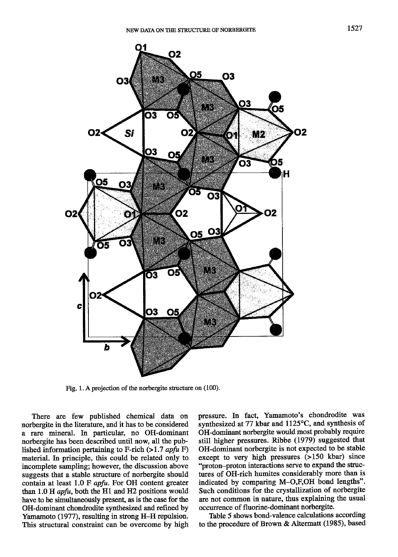

Fig. 1. A projection of the norbergite structure on (100).

There are few published chemical data on norbergite in the literature, and it has to be considered a rate mineral. In particular, no OH-dominant norbergite has been described until now, all the published information pertaining to F-rich  $(>1.7$  apfu F) material. In principle, this could be related only to incomplete sampling; however, the discussion above suggests that a stable structure of norbergite should contain at least 1.0 F apfu. For OH content greater than 1.0 H apfu, both the Hl and H2 positions would have to be simultaneously present, as is the case for the OH-dominant chondrodite synthesized and reflned by Yamamoto (1977), resulting in strong H-H repulsion. This structural constraint can be overcome by high pressure. In fact, Yamamoto's chondrodite was synthesized at 77 kbar and 1125°C, and synthesis of OH-dominant norbergite would most probably require still higher pressures. Ribbe (1979) suggested that OH-dominant norbergite is not expected to be stable except to very high pressures (>150 kbar) since "proton-proton interactions serye to expand the structures of OH-rich humites considerably more than is indicated by comparing M-O,F,OH bond lengths". Such conditions for the crystallization of norbergite are not common in nature, thus explaining the usual occurrence of fluorine-dominant norbergite.

Table 5 shows bond-valence calculations according to the procedure of Brown & Altermatt (1985), based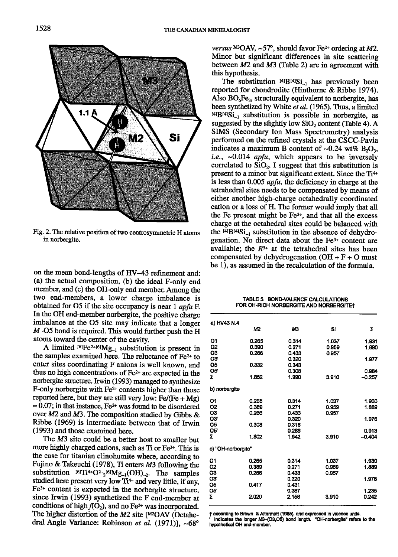

Fig. 2. The relative position of two centrosymmetric H atoms in norbergite.

on the mean bond-lengths of tIV-43 refinement and: (a) the actual composition, (b) the ideal  $F$ -only end member, and (c) the OH-only end member. Among the two end-members, a lower charge imbalance is obtained for O5 if the site occupancy is near 1 *apfu* F. In the OH end-member norbergite, the positive charge imbalance at the 05 site may indicate that a longer M-O5 bond is required. This would further push the H atoms toward the center of the cavity.

A limited  $^{[6]}Fe^{2+[6]}Mg_{-1}$  substitution is present in the samples examined here. The reluctance of Fe2\* to enter sites coordinating F anions is well known, and thus no high concentrations of  $Fe<sup>2+</sup>$  are expected in the norbergite structure. Irwin (1993) managed to synthesize F-only norbergite witl Fez\* contents higher than those reported here, but they are still very low:  $Fe/(Fe + Mg)$  $= 0.07$ ; in that instance, Fe<sup>2+</sup> was found to be disordered over  $M2$  and  $M3$ . The composition studied by Gibbs & Ribbe (1969) is intermediate between that of Irwin (1993) and those examined here.

The M3 site could be a better host to smaller but more highly charged cations, such as Ti or Fe<sup>3+</sup>. This is the case for titanian clinohumite where, according to Fujino & Takeuchi (1978), Ti enters  $M3$  following the substitution  $\text{I6TTi}^{4+}O_{2}^{2-1}\text{I6}Mg_{-1}(\text{OH})_{-2}$ . The samples studied here present very low  $Ti<sup>4+</sup>$  and very little, if any,  $Fe<sup>3+</sup>$  content is expected in the norbergite structure, since Irwin (1993) synthetized the F end-member at conditions of high  $f(O_2)$ , and no Fe<sup>3+</sup> was incorporated. The higher distortion of the  $M2$  site [M2OAV (Octahedral Angle Variance: Robinson et al.  $(1971)$ ], ~68°

versus  $^{M3}OAV$ , ~57°, should favor Fe<sup>2+</sup> ordering at M2. Minor but significant differences in site scattering between  $M2$  and  $M3$  (Table 2) are in agreement with this hypothesis.

The substitution  $[4]B[4]Si_{-1}$  has previously been reported for chondrodite (Hinthorne & Ribbe 1974). Also  $BO<sub>6</sub>Fe<sub>3</sub>$ , structurally equivalent to norbergite, has been synthetized by White et al. (1965). Thus, a limited  $^{[4]}B^{[4]}Si_{-1}$  substitution is possible in norbergite, as suggested by the slightly low  $SiO<sub>2</sub>$  content (Table 4). A SIMS (Secondary Ion Mass Spectrometry) analysis performed on the refined crystals at the CSCC-Pavia indicates a maximum B content of  $\sim 0.24$  wt% B<sub>2</sub>O<sub>3</sub>, i.e.,  $\sim 0.014$  apfu, which appears to be inversely correlated to  $SiO<sub>2</sub>$ . I suggest that this substitution is present to a minor but significant extent. Since the Ti<sup>4+</sup> is less than O.OO5 apfu, the deficiency in charge at the tetrahedral sites needs to be compensated by means of either another high-charge octahedrally coordinated cation or a loss of H. The former would imply that all the Fe present might be Fe\*, and that all the excess charge at the octahedral sites could be balanced with the  $[4]B[4]Si_{-1}$  substitution in the absence of dehydrogenation. No direct data about the  $Fe<sup>3+</sup>$  content are available; the  $R^{3+}$  at the tetrahedral sites has been compensated by dehydrogenation  $(OH + F + O \text{ must}$ be 1), as assumed in the recalculation of the formula.

TABLE 5. BOND-VALENCE CALCULATIONS FOR OH-RICH NORBERGITE AND NORBERGITE+

| a) HV43 N.4                  |       |                |       |                |
|------------------------------|-------|----------------|-------|----------------|
|                              | M2    | M3             | Si    | Σ              |
| O1                           | 0.265 | 0.314          | 1.037 | 1.931          |
| Ο2                           | 0.390 | 0.271          | 0.959 | 1.890          |
| O3                           | 0.266 | 0.433          | 0.957 |                |
| O3'<br>05                    |       | 0.320          |       | 1.977          |
| 05                           | 0.332 | 0.343<br>0.308 |       | 0.984          |
| Σ                            | 1.852 | 1.990          | 3.910 | $-0.257$       |
|                              |       |                |       |                |
| b) norbergite                |       |                |       |                |
| О1                           | 0.265 | 0.314          | 1.037 | 1.930          |
| 02                           | 0.389 | 0.271          | 0.959 | 1.889          |
| ОЗ                           | 0.266 | 0.433          | 0.957 |                |
| O3                           |       | 0.320          |       | 1.976          |
| O <sub>5</sub><br><b>O5'</b> | 0.308 | 0.318<br>0.286 |       | 0.913          |
| Σ                            | 1.802 | 1.942          | 3.910 | $-0.404$       |
|                              |       |                |       |                |
| c) "OH-norbergite"           |       |                |       |                |
| О1                           | 0.265 | 0.314          | 1.037 | 1.930          |
| 02                           | 0.389 | 0.271          | 0.959 | 1.889          |
| O3                           | 0.266 | 0.433          | 0.957 |                |
| O3'                          |       | 0.320          |       | 1.976          |
| 05                           | 0.417 | 0.431          |       |                |
| 05<br>Σ                      | 2.020 | 0.387<br>2.156 | 3.910 | 1.235<br>0.242 |
|                              |       |                |       |                |
|                              |       |                |       |                |

t according to Brown & Altermatt (1985), and expressed in valence units.<br>' indicates the longer M3-(O3,O5) bond length. "OH-norbergite" refers to the hypothetical OH end-member.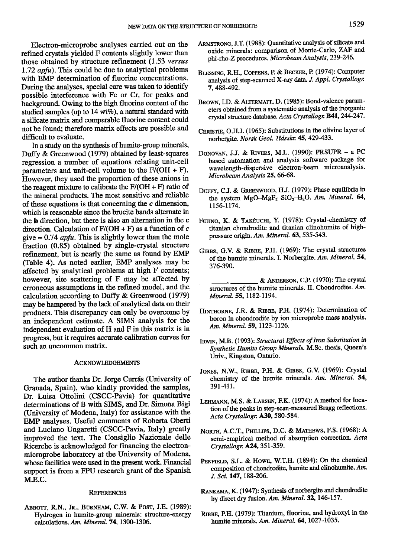Electron-microprobe analyses carried out on the refined crystals yielded F contents slightly lower than those obtained by structure refinement  $(1.53 \text{ versus}$  $1.72$  apfu). This could be due to analytical problems with EMP determination of fluorine concentrations. During the analyses, special care was taken to identify possible interference witl Fe or Cr, for peaks and background. Owing to the high fluorine content of the studied samples (up to 14 wt%), a natural standard with a silicate maftix and comparable fluorine content could not be found; therefore marix effects are possible and difficult to evaluate.

In a study on the synthesis of humite-group minerals, Duffy & Greenwood (1979) obtained by least-squares regression a number of equations relating unit-cell parameters and unit-cell volume to the  $F/(OH + F)$ . However, they used the proportion of these anions in the reagent mixture to calibrate the  $F/(\text{OH} + F)$  ratio of the mineral products. The most sensitive and reliable of these equations is that concerning the  $c$  dimension, which is reasonable since the brucite bands alternate in the  **direction, but there is also an alternation in the**  $**c**$ direction. Calculation of  $F/(\text{OH} + F)$  as a function of c give  $= 0.74$  apfu. This is slightly lower than the mole fraction (0.85) obtained by single-crystal structure refinement, but is nearly the same as found by EMP (Table 4). As noted earlier, EMP analyses may be affected by analytical problems at high F contents: however, site scattering of F may be affected by erroneous assumptions in the refined model, and the calculation according to Dufry & Greenwood (1979) may be hampered by the lack of analytical data on their products. This discrepancy can only be overcome by an independent estimate. A SIMS analysis for the independent evaluation of H and F in this matrix is in progress, but it requires accurate calibration curves for such an uncommon matrix.

### ACKNOWLEDGEMENTS

The author thanks Dr. Jorge Currás (University of Granada, Spain), who kindly provided the samples, Dr. Luisa Ottolini (CSCC-Pavia) for quantitative determinations of B with SMS, and Dr. Simona Bigi (University of Modena, Italy) for assistance with the EMP analyses. Useful comments of Roberta Oberti and Luciano Ungaretti (CSCC-Pavia, Italy) greatly improved the text. The Consiglio Nazionale delle Ricerche is acknowledged for financing the electronmicroprobe laboratory at the University of Modena, whose facilities were used in the present work. Financial support is from a FPU research grant of the Spanish M.E.C.

### **REFERENCES**

ABBOTT, R.N., Jr., BURNHAM, C.W. & POST, J.E. (1989): Hydrogen in humite-group minerals: structue-energy calculations. Am. Mineral. 74, 1300-1306.

- ARMSTRONG, J.T. (1988): Quantitative analysis of silicate and oxide minerals: comparison of Monte-Carlo, ZAF and phi-rho-Z procedures. Microbeam Analysis, 239-246.
- BLESSING, R.H., COPPENS, P. & BECKER, P. (1974): Computer analysis of step-scanned X-ray data, J. Appl. Crystallogr. 7.488492.
- BROWN, I.D. & ALTERMATT, D. (1985): Bond-valence parameters obtained from a systematic analysis of the inorganic crystal structure database. Acta Crystallogr. B41, 244-247.
- CHRISTIE, O.H.J. (1965): Substitutions in the olivine layer of norbergite. Norsk Geol. Tidsskr. 45, 429-433.
- DONOVAN, J.J. & RIVERS, M.L. (1990): PRSUPR a PC based automation and analysis software package for wavelength-dispersive electron-beam microanalysis. Microbeam Analysis 25, 66-68.
- DUFFY, C.J. & GREENWOOD, H.J. (1979): Phase equilibria in the system  $MgO-MgF<sub>2</sub>-SiO<sub>2</sub>-H<sub>2</sub>O$ . Am. Mineral. 64, 1156-1174.
- FUJINO, K. & TAKÉUCHI, Y. (1978): Crystal-chemistry of titanian chondrodite and titanian clinohumite of highpressure origin. Am. Mineral. 63, 535-543.
- GIBBS, G.V. & RIBBE, P.H. (1969): The crystal structures of the humite minerals. I. Norbergite. Am. Mineral. 54, 376-390.
- & ANDERSON, C.P. (1970): The crystal structures of the humite minerals. II. Chondrodite. Am. Mineral. 55, 1182-1194.
- HINTHORNE, J.R. & RIBBE, P.H. (1974): Determination of boron in chondrodite by ion microprobe mass analysis. Am. Mineral. 59, 1123-1126.
- IRWIN, M.B. (1993): Structural Effects of Iron Substitution in Synthetic Humite Group Minerals. M.Sc. thesis, Queen's Univ., Kingston, Ontario.
- JONES, N.W., RIBBE, P.H. & GIBBS, G.V. (1969): Crystal chemistry of the humite minerals. Am. Mineral. 54, 391-411.
- LEHMANN, M.S. & LARSEN, F.K. (1974): A method for location of the peaks in step-scan-measured Bragg reflections. Acta Crystallogr. A30, 580-584.
- NORTH, A.C.T., PHILLIPS, D.C. & MATHEWS, F.S. (1968): A semi-empirical method of absorption correction. Acta Crystallogr. A24, 351-359.
- PENFIELD, S.L. & Howe, W.T.H. (1894): On the chemical composition of chondrodite, humite and clinohumite. Am. J. Sci. 147, 188-206.
- RANKAMA, K. (1947): Synthesis of norbergite and chondrodite by direct dry fusion. Am. Mineral. 32, 146-157.
- Rrsss, P.H. (1979): Titanium, fluorine, and hydroxyl in the humite minerals. Am. Mineral. 64, 1027-1035.